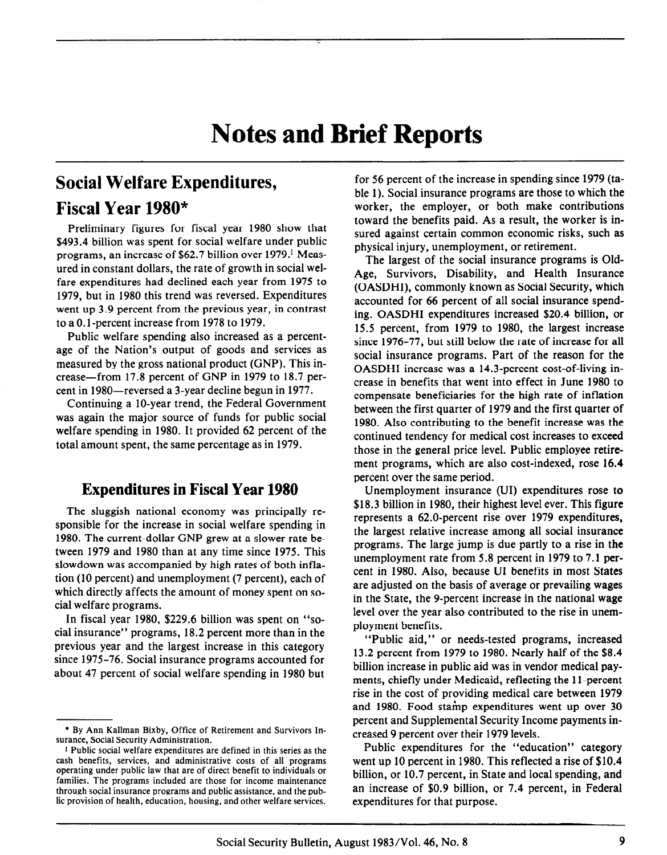## Social Welfare Expenditures,

# Fiscal Year 1980\*

Preliminary figures for fiscal year 1980 show that \$493.4 billion was spent for social welfare under public programs, an increase of \$62.7 billion over 1979.' Measured in constant dollars, the rate of growth in social welfare expenditures had declined each year from 1975 to 1979, but in 1980 this trend was reversed. Expenditures went up 3.9 percent from the previous year, in contrast to a 0.1 -percent increase from 1978 to 1979.

Public welfare spending also increased as a percentage of the Nation's output of goods and services as measured by the gross national product (GNP). This increase-from 17.8 percent of GNP in 1979 to 18.7 percent in 1980-reversed a 3-year decline begun in 1977.

Continuing a IO-year trend, the Federal Government was again the major source of funds for public social welfare spending in 1980. It provided 62 percent of the total amount spent, the same percentage as in 1979.

## Expenditures in Fiscal Year 1980

The sluggish national economy was principally responsible for the increase in social welfare spending in 1980. The current-dollar GNP grew at a slower rate between 1979 and 1980 than at any time since 1975. This slowdown was accompanied by high rates of both inflation (10 percent) and unemployment (7 percent), each of which directly affects the amount of money spent on social welfare programs.

In fiscal year 1980, \$229.6 billion was spent on "social insurance" programs, 18.2 percent more than in the previous year and the largest increase in this category since 1975-76. Social insurance programs accounted for about 47 percent of social welfare spending in 1980 but

for 56 percent of the increase in spending since 1979 (table 1). Social insurance programs are those to which the worker, the employer, or both make contributions toward the benefits paid. As a result, the worker is insured against certain common economic risks, such as physical injury, unemployment, or retirement.

The largest of the social insurance programs is Old-Age, Survivors, Disability, and Health Insurance (OASDHI), commonly known as Social Security, which accounted for 66 percent of all social insurance spending. OASDHI expenditures increased \$20.4 billion, or 15.5 percent, from 1979 to 1980, the largest increase since 1976-77, but still below the rate of increase for all social insurance programs. Part of the reason for the OASDHI increase was a 14.3-percent cost-of-living increase in benefits that went into effect in June 1980 to compensate beneficiaries for the high rate of inflation between the first quarter of 1979 and the first quarter of 1980. Also contributing to the benefit increase was the continued tendency for medical cost increases to exceed those in the general price level. Public employee retirement programs, which are also cost-indexed, rose 16.4 percent over the same period.

Unemployment insurance (UI) expenditures rose to \$18.3 billion in 1980, their highest level ever. This figure represents a 62.0-percent rise over 1979 expenditures, the largest relative increase among all social insurance programs. The large jump is due partly to a rise in the unemployment rate from 5.8 percent in 1979 to 7.1 percent in 1980. Also, because UI benefits in most States are adjusted on the basis of average or prevailing wages in the State, the 9-percent increase in the national wage level over the year also contributed to the rise in unemployment benefits.

"Public aid," or needs-tested programs, increased 13.2 percent from 1979 to 1980. Nearly half of the \$8.4 billion increase in public aid was in vendor medical payments, chiefly under Medicaid, reflecting the 11-percent rise in the cost of providing medical care between 1979 and 1980. Food stamp expenditures went up over 30 percent and Supplemental Security Income payments increased 9 percent over their 1979 levels.

Public expenditures for the "education" category went up 10 percent in 1980. This reflected a rise of \$10.4 billion, or 10.7 percent, in State and local spending, and an increase of \$0.9 billion, or 7.4 percent, in Federal expenditures for that purpose.

<sup>\*</sup> By Ann KaIIman Bixby, Office of Retirement and Survivors Insurance, Social Security Administration.

<sup>\*</sup> Public social welfare expenditures are defined in this series as the cash benefits, services, and administrative costs of all programs operating under public law that are of direct benefit to individuals or families. The programs included are those for income maintenance through social insurance programs and public assistance, and the public provision of health, education, housing, and other welfare services.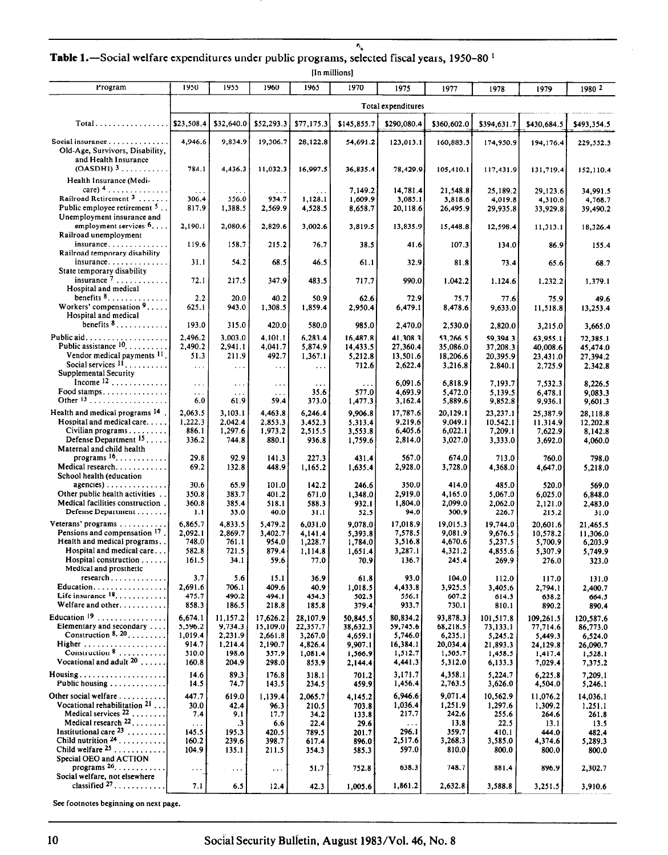Table 1.—Social welfare expenditures under public programs, selected fiscal years, 1950-80<sup>1</sup>

[In millions]

| Program                                                                                           | 1950                       | 1955                                     | 1960                         | 1965                          | 1970                            | 1975                             | 1977                             | 1978                             | 1979                             | 1980 2                           |
|---------------------------------------------------------------------------------------------------|----------------------------|------------------------------------------|------------------------------|-------------------------------|---------------------------------|----------------------------------|----------------------------------|----------------------------------|----------------------------------|----------------------------------|
|                                                                                                   |                            |                                          |                              |                               |                                 | Total expenditures               |                                  |                                  |                                  |                                  |
| $Total \dots \dots \dots \dots \dots$                                                             | \$23,508.4                 | \$32,640.0                               | \$52,293.3                   | \$77,175.3                    | \$145,855.7                     | \$290,080.4                      | \$360,602.0                      | \$394,631.7                      | \$430,684.5                      | \$493,354.5                      |
|                                                                                                   |                            |                                          |                              |                               |                                 |                                  |                                  |                                  |                                  |                                  |
| Social insurance<br>Old-Age, Survivors, Disability,<br>and Health Insurance                       | 4,946.6                    | 9,834.9                                  | 19,306.7                     | 28,122.8                      | 54,691.2                        | 123,013.1                        | 160,883.3                        | 174,950.9                        | 194,176.4                        | 229,552.3                        |
| $(OASDHI)$ <sup>3</sup><br>Health Insurance (Medi-                                                | 784.1                      | 4,436.3                                  | 11,032.3                     | 16,997.5                      | 36,835.4                        | 78,429.9                         | 105,410.1                        | 117,431.9                        | 131,719.4                        | 152,110.4                        |
| care) $4 \ldots \ldots \ldots \ldots$<br>Railroad Retirement <sup>3</sup>                         | $\sim$ $\sim$              | $\cdots$                                 |                              | $\ddotsc$                     | 7,149.2                         | 14,781.4                         | 21,548.8                         | 25,189.2                         | 29,123.6                         | 34,991.5                         |
| Public employee retirement <sup>5</sup> .<br>Unemployment insurance and                           | 306.4<br>817.9             | 556.0<br>1,388.5                         | 934.7<br>2,569.9             | 1,128.1<br>4,528.5            | 1,609.9<br>8,658.7              | 3,085.1<br>20,118.6              | 3,818.6<br>26,495.9              | 4,019.8<br>29,935.8              | 4,310.6<br>33,929.8              | 4,768.7<br>39,490.2              |
| employment services $6, \ldots$<br>Railroad unemployment                                          | 2,190.1                    | 2,080.6                                  | 2,829.6                      | 3,002.6                       | 3,819.5                         | 13,835.9                         | 15,448.8                         | 12,598.4                         | 11,313.1                         | 18,326.4                         |
| $in$ surance<br>Railroad temporary disability                                                     | 119.6                      | 158.7                                    | 215.2                        | 76.7                          | 38.5                            | 41.6                             | 107.3                            | 134.0                            | 86.9                             | 155.4                            |
| $in$ surance<br>State temporary disability                                                        | 31.1                       | 54.2                                     | 68.5                         | 46.5                          | 61.1                            | 32.9                             | 81.8                             | 73.4                             | 65.6                             | 68.7                             |
| insurance $7 \ldots \ldots \ldots$<br>Hospital and medical                                        | 72.1                       | 217.5                                    | 347.9                        | 483.5                         | 717.7                           | 990.0                            | 1,042.2                          | 1,124.6                          | 1,232.2                          | 1,379.1                          |
| benefits $8, \ldots, \ldots, \ldots$<br>Workers' compensation $9, \ldots$<br>Hospital and medical | 2.2<br>625.1               | 20.0<br>943.0                            | 40.2<br>1,308.5              | 50.9<br>1,859.4               | 62.6<br>2,950.4                 | 72.9<br>6,479.1                  | 75.7<br>8,478.6                  | 77.6<br>9,633.0                  | 75.9<br>11,518.8                 | 49.6<br>13,253.4                 |
| benefits $8, \ldots, \ldots, \ldots$                                                              | 193.0                      | 315.0                                    | 420.0                        | 580.0                         | 985.0                           | 2,470.0                          | 2,530.0                          | 2,820.0                          | 3,215.0                          | 3,665.0                          |
| Public aid.<br>Public assistance $10, \ldots, \ldots$<br>Vendor medical payments 11               | 2,496.2<br>2,490.2<br>51.3 | 3,003.0<br>2,941.1<br>211.9              | 4.101.1<br>4,041.7<br>492.7  | 6,283.4<br>5,874.9<br>1,367.1 | 16,487.8<br>14,433.5<br>5,212.8 | 41,308.3<br>27,360.4<br>13,501.6 | 53,266.5<br>35,086.0<br>18,206.6 | 59.394.3<br>37,208.3<br>20,395.9 | 63,955.1<br>40,008.6<br>23,431.0 | 72,385.1<br>45,474.0<br>27,394.2 |
| Social services $11, \ldots, \ldots$<br>Supplemental Security<br>Income $12$                      | $\ddotsc$                  | $\ddotsc$                                | $\sim$ $\sim$ $\sim$         | $\ldots$                      | 712.6                           | 2,622.4                          | 3,216.8                          | 2,840.1                          | 2,725.9                          | 2,342.8                          |
| Food stamps                                                                                       | $\cdots$<br>.<br>6.0       | $\ldots$<br>$\sim$ $\sim$ $\sim$<br>61.9 | $\ldots$<br>$\cdots$<br>59.4 | $\cdots$<br>35.6<br>373.0     | 577.0<br>1,477.3                | 6,091.6<br>4,693.9<br>3,162.4    | 6,818.9<br>5,472.0<br>5,889.6    | 7,193.7<br>5,139.5<br>9,852.8    | 7,532.3<br>6,478.1<br>9,936.1    | 8,226.5<br>9,083.3<br>9,601.3    |
| Health and medical programs 14                                                                    | 2,063.5                    | 3,103.1                                  | 4,463.8                      | 6,246.4                       | 9,906.8                         | 17,787.6                         | 20,129.1                         | 23,237.1                         | 25,387.9                         | 28,118.8                         |
| Hospital and medical care<br>Civilian programs                                                    | 1,222.3<br>886.1           | 2,042.4<br>1,297.6                       | 2,853.3<br>1,973.2           | 3,452.3<br>2,515.5            | 5,313.4<br>3,553.8              | 9,219.6<br>6,405.6               | 9,049.1<br>6,022.1               | 10,542.1<br>7,209.1              | 11,314.9<br>7,622.9              | 12,202.8<br>8,142.8              |
| Defense Department $15$ .<br>Maternal and child health                                            | 336.2                      | 744.8                                    | 880.1                        | 936.8                         | 1,759.6                         | 2,814.0                          | 3,027.0                          | 3,333.0                          | 3,692.0                          | 4,060.0                          |
| programs $16$<br>Medical research.<br>School health (education                                    | 29.8<br>69.2               | 92.9<br>132.8                            | 141.3<br>448.9               | 227.3<br>1,165.2              | 431.4<br>1,635.4                | 567.0<br>2,928.0                 | 674.0<br>3,728.0                 | 713.0<br>4,368.0                 | 760.0<br>4,647.0                 | 798.0<br>5,218.0                 |
| $agencies) \ldots \ldots \ldots \ldots \ldots$                                                    | 30.6                       | 65.9                                     | 101.0                        | 142.2                         | 246.6                           | 350.0                            | 414.0                            | 485.0                            | 520.0                            | 569.0                            |
| Other public health activities<br>Medical facilities construction.                                | 350.8<br>360.8             | 383.7<br>385.4                           | 401.2<br>518.1               | 671.0<br>588.3                | 1,348.0<br>932.1                | 2,919.0<br>1,804.0               | 4,165.0<br>2,099.0               | 5,067.0<br>2,062.0               | 6,025.0<br>2,121.0               | 6,848.0<br>2,483.0               |
| Defense Department                                                                                | 1.1                        | 33.0                                     | 40.0                         | 31.1                          | 52.5                            | 94.0                             | 300.9                            | 226.7                            | 215.2                            | 31.0                             |
| Veterans' programs<br>Pensions and compensation 17                                                | 6,865.7<br>2,092.1         | 4,833.5<br>2,869.7                       | 5.479.2<br>3,402.7           | 6.031.0<br>4,141.4            | 9,078.0                         | 17,018.9<br>7,578.5              | 19,015.3<br>9,081.9              | 19,744.0<br>9.676.5              | 20,601.6                         | 21,465.5                         |
| Health and medical programs                                                                       | 748.0                      | 761.1                                    | 954.0                        | 1,228.7                       | 5,393.8<br>1,784.0              | 3,516.8                          | 4,670.6                          | 5,237.5                          | 10,578.2<br>5,700.9              | 11,306.0<br>6,203.9              |
| Hospital and medical care<br>Hospital construction                                                | 582.8<br>161.5             | 721.5<br>34.1                            | 879.4                        | 1,114.8                       | 1,651.4                         | 3,287.1<br>136.7                 | 4,321.2<br>245.4                 | 4,855.6                          | 5,307.9                          | 5,749.9                          |
| Medical and prosthetic<br>$research$                                                              | 3.7                        | 5.6                                      | 59.6<br>15.1                 | 77.0<br>36.9                  | 70.9                            | 93.0                             |                                  | 269.9                            | 276.0                            | 323.0                            |
| Education                                                                                         | 2,691.6                    | 706.1                                    | 409.6                        | 40.9                          | 61.8<br>1,018.5                 | 4,433.8                          | 104.0<br>3,925.5                 | 112.0<br>3,405.6                 | 117.0<br>2,794.1                 | 131.0<br>2,400.7                 |
| Life insurance 18.<br>Welfare and other                                                           | 475.7<br>858.3             | 490.2<br>186.5                           | 494.1<br>218.8               | 434.3<br>185.8                | 502.3<br>379.4                  | 556.1<br>933.7                   | 607.2<br>730.1                   | 614.3<br>810.1                   | 638.2<br>890.2                   | 664.5<br>890.4                   |
| Education $19$                                                                                    | 6,674.1                    | 11,157.2                                 | 17,626.2                     | 28,107.9                      | 50,845.5                        | 80,834.2                         | 93,878.3                         | 101,517.8                        | 109,261.5                        | 120,587.6                        |
| Elementary and secondary<br>Construction $8, 20, \ldots, \ldots$                                  | 5,596.2                    | 9,734.3                                  | 15,109.0                     | 22,357.7                      | 38,632.3                        | 59,745.6                         | 68,218.5                         | 73,133.1                         | 77,714.6                         | 86,773.0                         |
| Higher                                                                                            | 1,019.4<br>914.7           | 2,231.9<br>1,214.4                       | 2,661.8<br>2,190.7           | 3,267.0<br>4,826.4            | 4,659.1<br>9,907.1              | 5,746.0<br>16,384.1              | 6,235.1<br>20,034.4              | 5,245.2<br>21,893.3              | 5,449.3<br>24,129.8              | 6.524.0<br>26,090.7              |
| Construction $8$<br>Vocational and adult $20$                                                     | 310.0                      | 198.6                                    | 357.9                        | 1,081.4                       | 1.566.9                         | 1,512.7                          | 1,505.7                          | 1,458.5                          | 1,417.4                          | 1,528.1                          |
| Housing                                                                                           | 160.8<br>14.6              | 204.9<br>89.3                            | 298.0                        | 853.9<br>318.1                | 2,144.4<br>701.2                | 4,441.3<br>3,171.7               | 5,312.0<br>4,358.1               | 6,133.3<br>5,224.7               | 7,029.4                          | 7,375.2                          |
| Public housing                                                                                    | 14.5                       | 74.7                                     | 176.8<br>143.5               | 234.5                         | 459.9                           | 1,456.4                          | 2,763.5                          | 3,626.0                          | 6,225.8<br>4,504.0               | 7,209.1<br>5,246.1               |
| Other social welfare<br>Vocational rehabilitation $21$                                            | 447.7<br>30.0              | 619.0<br>42.4                            | 1,139.4<br>96.3              | 2,065.7<br>210.5              | 4.145.2<br>703.8                | 6,946.6<br>1,036.4               | 9.071.4<br>1.251.9               | 10,562.9<br>1,297.6              | 11,076.2<br>1,309.2              | 14,036.1<br>1,251.1              |
| Medical services $22$ ,                                                                           | 7.4                        | 9.1                                      | 17.7                         | 34.2                          | 133.8                           | 217.7                            | 242.6                            | 255.6                            | 264.6                            | 261.8                            |
| Medical research $22$<br>Institutional care $23$                                                  | $\sim$ .<br>145.5          | $\cdot$ 3<br>195.3                       | 6.6<br>420.5                 | 22.4<br>789.5                 | 29.6<br>201.7                   | $\ddotsc$<br>296.1               | 13.8<br>359.7                    | 22.5<br>410.1                    | 13.1<br>444.0                    | 13.5<br>482.4                    |
| Child nutrition 24                                                                                | 160.2                      | 239.6                                    | 398.7                        | 617.4                         | 896.0                           | 2,517.6                          | 3,268.3                          | 3,585.0                          | 4,374.6                          | 5,289.3                          |
| Child welfare $25$<br>Special OEO and ACTION                                                      | 104.9                      | 135.1                                    | 211.5                        | 354.3                         | 585.3                           | 597.0                            | 810.0                            | 800.0                            | 800.0                            | 800.0                            |
| programs $26$                                                                                     | $\ldots$                   | $\sim 100$                               | $\ldots$                     | 51.7                          | 752.8                           | 638.3                            | 748.7                            | 881.4                            | 896.9                            | 2,302.7                          |
| Social welfare, not elsewhere<br>classified $27$                                                  | 7.1                        | 6.5                                      | 12.4                         | 42.3                          | 1,005.6                         | 1,861.2                          | 2,632.8                          | 3,588.8                          | 3,251.5                          | 3,910.6                          |

See footnotes beginning on next page.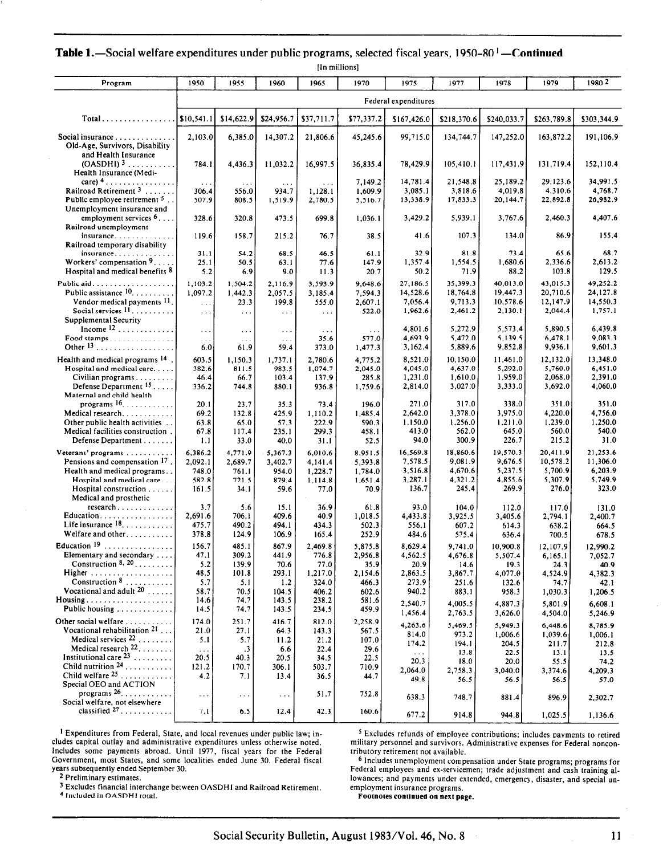|  |  |  |  |  | <b>Table 1.</b> —Social welfare expenditures under public programs, selected fiscal years, 1950–80 <sup>1</sup> —Continued |  |  |
|--|--|--|--|--|----------------------------------------------------------------------------------------------------------------------------|--|--|
|--|--|--|--|--|----------------------------------------------------------------------------------------------------------------------------|--|--|

|                                                                                                                                       |                                              |                                                  |                                              | [In millions]                         |                                        |                                                   |                                                    |                                                    |                                                     |                                                    |
|---------------------------------------------------------------------------------------------------------------------------------------|----------------------------------------------|--------------------------------------------------|----------------------------------------------|---------------------------------------|----------------------------------------|---------------------------------------------------|----------------------------------------------------|----------------------------------------------------|-----------------------------------------------------|----------------------------------------------------|
| Program                                                                                                                               | 1950                                         | 1955                                             | 1960                                         | 1965                                  | 1970                                   | 1975                                              | 1977                                               | 1978                                               | 1979                                                | 1980 2                                             |
|                                                                                                                                       |                                              |                                                  |                                              |                                       |                                        | Federal expenditures                              |                                                    |                                                    |                                                     |                                                    |
| $Total \dots \dots \dots \dots \dots$                                                                                                 | \$10,541.1                                   | \$14,622.9                                       | \$24,956.7                                   | \$37,711.7                            | \$77,337.2                             | \$167,426.0                                       | \$218,370.6                                        | \$240,033.7                                        | \$263,789.8                                         | \$303,344.9                                        |
| Social insurance $\ldots$ , $\ldots$ , $\ldots$<br>Old-Age, Survivors, Disability                                                     | 2,103.0                                      | 6,385.0                                          | 14,307.2                                     | 21,806.6                              | 45,245.6                               | 99,715.0                                          | 134,744.7                                          | 147,252.0                                          | 163,872.2                                           | 191,106.9                                          |
| and Health Insurance<br>$(OASDHI)^3$<br>Health Insurance (Medi-                                                                       | 784.1                                        | 4,436.3                                          | 11,032.2                                     | 16,997.5                              | 36,835.4                               | 78,429.9                                          | 105,410.1                                          | 117,431.9                                          | 131,719.4                                           | 152,110.4                                          |
| care) $4 \ldots \ldots \ldots \ldots \ldots$<br>Railroad Retirement $3$                                                               | $\sim$ $\sim$ $\sim$<br>306.4                | .<br>556.0                                       | .<br>934.7                                   | $\cdots$<br>1,128.1                   | 7,149.2<br>1,609.9                     | 14,781.4<br>3,085.1                               | 21,548.8<br>3,818.6                                | 25,189.2<br>4,019.8                                | 29,123.6<br>4,310.6                                 | 34,991.5<br>4,768.7                                |
| Public employee retirement 5.<br>Unemployment insurance and<br>employment services $6 \ldots$ .                                       | 507.9<br>328.6                               | 808.5<br>320.8                                   | 1,519.9<br>473.5                             | 2,780.5<br>699.8                      | 5,516.7<br>1,036.1                     | 13,338.9<br>3,429.2                               | 17,833.3<br>5,939.1                                | 20,144.7<br>3,767.6                                | 22,892.8<br>2,460.3                                 | 26.982.9<br>4,407.6                                |
| Railroad unemployment<br>$insurance \ldots \ldots$                                                                                    | 119.6                                        | 158.7                                            | 215.2                                        | 76.7                                  | 38.5                                   | 41.6                                              | 107.3                                              | 134.0                                              | 86.9                                                | 155.4                                              |
| Railroad temporary disability<br>insurance                                                                                            | 31.1                                         | 54.2                                             | 68.5                                         | 46.5                                  | 61.1                                   | 32.9                                              | 81.8                                               | 73.4                                               | 65.6                                                | 68.7                                               |
| Workers' compensation $9. \ldots$ .<br>Hospital and medical benefits 8                                                                | 25.1<br>5.2                                  | 50.5<br>6.9                                      | 63.I<br>9.0                                  | 77.6<br>11.3                          | 147.9<br>20.7                          | 1,357.4<br>50.2                                   | 1,554.5<br>71.9                                    | 1,680.6<br>88.2                                    | 2,336.6<br>103.8                                    | 2,613.2<br>129.5                                   |
| Public aid.<br>Public assistance $10, \ldots, \ldots$<br>Vendor medical payments 11<br>Social services $11, \ldots, \ldots$           | 1,103.2<br>1,097.2<br>$\ldots$               | 1.504.2<br>1,442.3<br>23.3                       | 2,116.9<br>2,057.5<br>199.8                  | 3,593.9<br>3,185.4<br>555.0           | 9,648.6<br>7,594.3<br>2,607.1          | 27,186.5<br>14,528.6<br>7,056.4<br>1,962.6        | 35,399.3<br>18,764.8<br>9,713.3<br>2,461.2         | 40,013.0<br>19,447.3<br>10,578.6<br>2,130.1        | 43,015.3<br>20.710.6<br>12,147.9<br>2,044.4         | 49,252.2<br>24,127.8<br>14,550.3<br>1,757.1        |
| Supplemental Security<br>Income $12$                                                                                                  | $\cdots$<br>$\epsilon$ . $\epsilon$          | $\sim$ $\sim$<br>$\epsilon \rightarrow \epsilon$ | $\sim$ $\sim$ $\sim$<br>$\sim$ $\sim$ $\sim$ | $\sim$ $\sim$<br>.                    | 522.0                                  | 4,801.6<br>4,693.9                                | 5,272.9<br>5,472.0                                 | 5,573.4<br>5,139.5                                 | 5,890.5<br>6,478.1                                  | 6,439.8<br>9,083.3                                 |
| Food stamps                                                                                                                           | $\sim$ $\sim$<br>6.0                         | 61.9                                             | $\sim$ $\sim$ $\sim$<br>59.4                 | 35.6<br>373.0                         | 577.0<br>1,477.3                       | 3,162.4                                           | 5,889.6                                            | 9,852.8                                            | 9,936.1                                             | 9,601.3                                            |
| Health and medical programs <sup>14</sup><br>Hospital and medical care<br>Civilian programs<br>Defense Department $15$                | 603.5<br>382.6<br>46.4<br>336.2              | 1,150.3<br>811.5<br>66.7<br>744.8                | 1,737.1<br>983.5<br>103.4<br>880.1           | 2,780.6<br>1,074.7<br>137.9<br>936.8  | 4,775.2<br>2,045.0<br>285.8<br>1,759.6 | 8,521.0<br>4,045.0<br>1,231.0<br>2,814.0          | 10.150.0<br>4,637.0<br>1,610.0<br>3,027.0          | 11,461.0<br>5,292.0<br>1,959.0<br>3,333.0          | 12,132.0<br>5,760.0<br>2,068.0<br>3,692.0           | 13,348.0<br>6,451.0<br>2,391.0<br>4,060.0          |
| Maternal and child health<br>programs $16$<br>Medical research.<br>Other public health activities<br>Medical facilities construction. | 20.1<br>69.2<br>63.8<br>67.8                 | 23.7<br>132.8<br>65.0<br>117.4                   | 35.3<br>425.9<br>57.3<br>235.1               | 73.4<br>1,110.2<br>222.9<br>299.3     | 196.0<br>1,485.4<br>590.3<br>458.1     | 271.0<br>2,642.0<br>1,150.0<br>413.0              | 317.0<br>3,378.0<br>1,256.0<br>562.0               | 338.0<br>3,975.0<br>1,211.0<br>645.0               | 351.0<br>4,220.0<br>1,239.0<br>560.0                | 351.0<br>4,756.0<br>1,250.0<br>540.0               |
| Defense Department<br>Veterans' programs<br>Pensions and compensation 17.<br>Health and medical programs<br>Hospital and medical care | 1.1<br>6,386.2<br>2,092.1<br>748.0           | 33.0<br>4,771.9<br>2,689.7<br>761.1              | 40.0<br>5,367.3<br>3,402.7<br>954.0          | 31.1<br>6,010.6<br>4,141.4<br>1,228.7 | 52.5<br>8,951.5<br>5,393.8<br>1,784.0  | 94.0<br>16,569.8<br>7,578.5<br>3,516.8<br>3,287.1 | 300.9<br>18,860.6<br>9,081.9<br>4,670.6<br>4,321.2 | 226.7<br>19,570.3<br>9,676.5<br>5,237.5<br>4,855.6 | 215.2<br>20,411.9<br>10,578.2<br>5,700.9<br>5,307.9 | 31.0<br>21,253.6<br>11,306.0<br>6,203.9<br>5,749.9 |
| Hospital construction $\ldots$ .<br>Medical and prosthetic                                                                            | 582.8<br>161.5                               | 721.5<br>34.1                                    | 879.4<br>59.6                                | 1,114.8<br>77.0                       | 1,651.4<br>70.9                        | 136.7                                             | 245.4                                              | 269.9                                              | 276.0                                               | 323.0                                              |
| Education<br>Life insurance $18$<br>Welfare and other                                                                                 | 3.7<br>2,691.6<br>475.7<br>378.8             | 5.6<br>706.1<br>490.2<br>124.9                   | 15.1<br>409.6<br>494.1<br>106.9              | 36.9<br>40.9<br>434.3<br>165.4        | 61.8<br>1,018.5<br>502.3<br>252.9      | 93.0<br>4,433.8<br>556.1<br>484.6                 | 104.0<br>3,925.5<br>607.2                          | 112.0<br>3.405.6<br>614.3                          | 117.0<br>2,794.1<br>638.2                           | 131.0<br>2,400.7<br>664.5                          |
| Education $19$<br>Elementary and secondary<br>Construction $8, 20, \ldots,$                                                           | 156.7<br>47.1<br>5.2                         | 485.1<br>309.2<br>139.9                          | 867.9<br>441.9<br>70.6                       | 2,469.8<br>776.8<br>77.0              | 5,875.8<br>2,956.8<br>35.9             | 8,629.4<br>4,562.5<br>20.9                        | 575.4<br>9,741.0<br>4,676.8<br>14.6                | 636.4<br>10.900.8<br>5,507.4<br>19.3               | 700.5<br>12,107.9<br>6,165.1<br>24.3                | 678.5<br>12,990.2<br>7.052.7<br>40.9               |
| Construction $8$                                                                                                                      | 48.5<br>5.7                                  | 101.8<br>5.1                                     | 293.1<br>1.2                                 | 1,217.0<br>324.0                      | 2,154.6<br>466.3                       | 2,863.5<br>273.9                                  | 3,867.7<br>251.6                                   | 4,077.0<br>132.6                                   | 4,524.9<br>74.7                                     | 4,382.3<br>42.1                                    |
| Vocational and adult $20$<br>$Housing \dots \dots \dots \dots \dots \dots \dots$<br>Public housing                                    | 58.7<br>14.6<br>14.5                         | 70.5<br>74.7<br>74.7                             | 104.5<br>143.5<br>143.5                      | 406.2<br>238.2<br>234.5               | 602.6<br>581.6<br>459.9                | 940.2<br>2,540.7<br>1,456.4                       | 883.1<br>4,005.5<br>2,763.5                        | 958.3<br>4,887.3<br>3,626.0                        | 1,030.3<br>5,801.9<br>4,504.0                       | 1,206.5<br>6,608.1<br>5,246.9                      |
| Other social welfare<br>Vocational rehabilitation $21$<br>Medical services $22$                                                       | 174.0<br>21.0<br>5.1                         | 251.7<br>27.1<br>5.7                             | 416.7<br>64.3<br>11.2                        | 812.0<br>143.3<br>21.2                | 2,258.9<br>567.5<br>107.0              | 4,263.6<br>814.0<br>174.2                         | 5.469.5<br>973.2<br>194.1                          | 5.949.3<br>1,006.6<br>204.5                        | 6,448.6<br>1,039.6<br>211.7                         | 8,785.9<br>1,006.1<br>212.8                        |
| Medical research <sup>22</sup><br>Institutional care $23$<br>Child nutrition $24$<br>Child welfare $25$                               | $\sim$ $\sim$ $\sim$<br>20.5<br>121.2<br>4.2 | $\cdot$ 3<br>40.3<br>170.7<br>7.1                | 6.6<br>20.5<br>306.1<br>13.4                 | 22.4<br>34.5<br>503.7<br>36.5         | 29.6<br>22.5<br>710.9<br>44.7          | $\sim 100$<br>20.3<br>2,064.0<br>49.8             | 13.8<br>18.0<br>2,758.3<br>56.5                    | 22.5<br>20.0<br>3,040.0<br>56.5                    | 13.1<br>55.5<br>3,374.6<br>56.5                     | 13.5<br>74.2<br>4,209.3<br>57.0                    |
| Special OEO and ACTION<br>programs $26$<br>Social welfare, not elsewhere                                                              | $\ldots$                                     | $\cdots$                                         | $\ldots$                                     | 51.7                                  | 752.8                                  | 638.3                                             | 748.7                                              | 881.4                                              | 896.9                                               | 2,302.7                                            |
| classified $27$                                                                                                                       | 7.1                                          | 6.5                                              | 12.4                                         | 42.3                                  | 160.6                                  | 677.2                                             | 914.8                                              | 944.8                                              | 1,025.5                                             | 1,136.6                                            |

t Expenditures from Federal, State, and local revenues under public law; in-cludes capital outlay and administrative expenditures unless otherwise noted. Includes some payments abroad. Until 1977, fiscal years for the Federal Government, most States, and some localities ended June 30. Federal fiscal years subsequently ended September 30. \* Preliminary estimates.

-

3 Excludes financial interchange between OASDHI and Railroad Retirement.

4 Included in OASDHI rotal.

5 Excludes refunds of employee contributions; includes payments to retired military personnel and survivors. Administrative expenses for Federal noncontributory retirement not available.

6 Includes unemployment compensation under State programs; programs for Federal employees and ex-servicemen; trade adjustment and cash training allowances; and payments under extended, emergency, disaster, and special unemployment insurance programs.

Footnotes continued on next page.

- - - -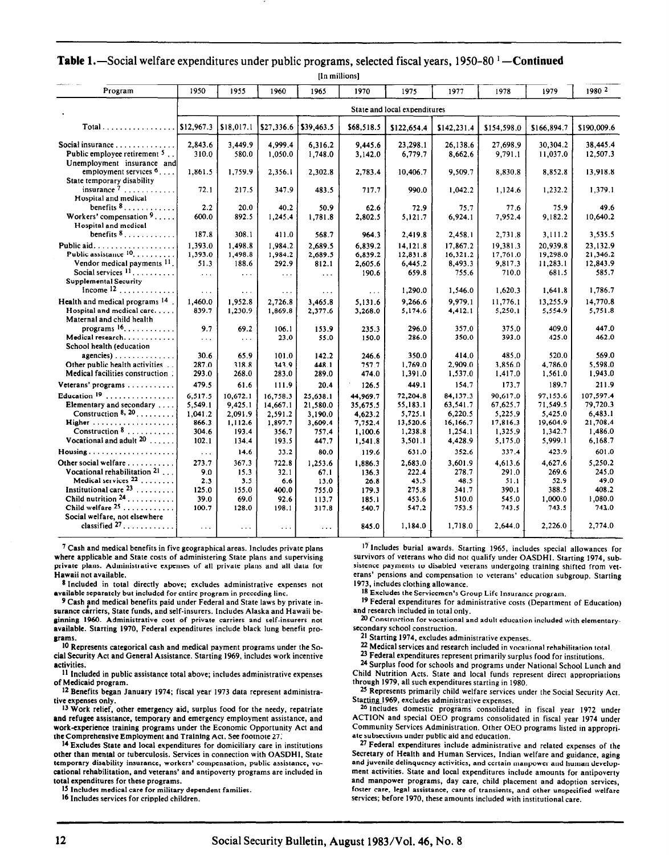|                                                                          |                   |                      |                  | [In millions]    |                  |                              |                     |                     |                     |                     |
|--------------------------------------------------------------------------|-------------------|----------------------|------------------|------------------|------------------|------------------------------|---------------------|---------------------|---------------------|---------------------|
| Program                                                                  | 1950              | 1955                 | 1960             | 1965             | 1970             | 1975                         | 1977                | 1978                | 1979                | 1980 2              |
|                                                                          |                   |                      |                  |                  |                  | State and local expenditures |                     |                     |                     |                     |
| $Total \dots \dots \dots \dots \dots$                                    | \$12,967.3        | \$18,017.1           | \$27,336.6       | \$39,463.5       | \$68,518.5       | \$122,654.4                  | \$142,231.4         | \$154,598.0         | \$166,894.7         | \$190,009.6         |
| Social insurance                                                         | 2,843.6           | 3.449.9              | 4.999.4          | 6,316.2          | 9,445.6          | 23,298.1                     | 26,138.6            | 27,698.9            | 30,304.2            | 38,445.4            |
| Public employee retirement $5$ .<br>Unemployment insurance and           | 310.0             | 580.0                | 1,050.0          | 1,748.0          | 3,142.0          | 6,779.7                      | 8,662.6             | 9,791.1             | 11,037.0            | 12,507.3            |
| employment services $6, \ldots$<br>State temporary disability            | 1,861.5           | 1,759.9              | 2,356.1          | 2,302.8          | 2,783.4          | 10,406.7                     | 9,509.7             | 8,830.8             | 8,852.8             | 13,918.8            |
| insurance $7, \ldots, \ldots$<br>Hospital and medical                    | 72.1              | 217.5                | 347.9            | 483.5            | 717.7            | 990.0                        | 1.042.2             | 1.124.6             | 1,232.2             | 1,379.1             |
| benefits $8, \ldots, \ldots, \ldots$                                     | 2.2               | 20.0                 | 40.2             | 50.9             | 62.6             | 72.9                         | 75.7                | 77.6                | 75.9                | 49.6                |
| Workers' compensation $9 \ldots$ .<br>Hospital and medical               | 600.0             | 892.5                | 1,245.4          | 1,781.8          | 2,802.5          | 5.121.7                      | 6,924.1             | 7,952.4             | 9,182.2             | 10,640.2            |
| benefits $8, \ldots, \ldots, \ldots$<br>Public aid                       | 187.8<br>1.393.0  | 308.1<br>1.498.8     | 411.0<br>1.984.2 | 568.7<br>2,689.5 | 964.3<br>6,839.2 | 2,419.8<br>14.121.8          | 2,458.1<br>17.867.2 | 2,731.8<br>19,381.3 | 3,111.2<br>20.939.8 | 3,535.5<br>23,132.9 |
| Public assistance 10.                                                    | 1,393.0           | 1,498.8              | 1,984.2          | 2,689.5          | 6,839.2          | 12,831.8                     | 16,321.2            | 17,761.0            | 19,298.0            | 21,346.2            |
| Vendor medical payments 11                                               | 51.3              | 188.6                | 292.9            | 812.1            | 2,605.6          | 6,445.2                      | 8.493.3             | 9.817.3             | 11,283.1            | 12,843.9            |
| Social services $11, \ldots, \ldots$<br>Supplemental Security            | $\sim$ .          | $\sim$ $\sim$ $\sim$ | $\sim$ $\sim$    | $\cdots$         | 190.6            | 659.8                        | 755.6               | 710.0               | 681.5               | 585.7               |
| Income $12$                                                              | $\cdots$          | $\cdots$             | $\cdots$         | $\sim$ $\sim$    | $\cdots$         | 1,290.0                      | 1,546.0             | 1,620.3             | 1,641.8             | 1,786.7             |
| Health and medical programs 14                                           | 1.460.0           | 1.952.8              | 2.726.8          | 3,465.8          | 5,131.6          | 9.266.6                      | 9.979.1             | 11.776.1            | 13.255.9            | 14,770.8            |
| Hospital and medical care<br>Maternal and child health                   | 839.7             | 1,230.9              | 1,869.8          | 2,377.6          | 3,268.0          | 5,174.6                      | 4,412.1             | 5,250.1             | 5,554.9             | 5,751.8             |
| programs $16, \ldots, \ldots, \ldots$                                    | 9.7               | 69.2                 | 106.1            | 153.9            | 235.3            | 296.0                        | 357.0               | 375.0               | 409.0               | 447.0               |
| Medical research<br>School health (education                             | $\ldots$          | $\sim$ $\sim$ $\sim$ | 23.0             | 55.0             | 150.0            | 286.0                        | 350.0               | 393.0               | 425.0               | 462.0               |
| $a$ gencies)                                                             | 30.6              | 65.9                 | 101.0            | 142.2            | 246.6            | 350.0                        | 414.0               | 485.0               | 520.0               | 569.0               |
| Other public health activities<br>Medical facilities construction.       | 287.0<br>293.0    | 318.8<br>268.0       | 343.9<br>283.0   | 448.1<br>289.0   | 757.7<br>474.0   | 1,769.0<br>1,391.0           | 2,909.0<br>1,537.0  | 3,856.0<br>1,417.0  | 4.786.0<br>1,561.0  | 5.598.0<br>1,943.0  |
| Veterans' programs                                                       | 479.5             | 61.6                 | 111.9            | 20.4             | 126.5            | 449.1                        | 154.7               | 173.7               | 189.7               | 211.9               |
| Education $19$ ,                                                         | 6,517.5           | 10.672.1             | 16,758.3         | 25,638.1         | 44,969.7         | 72,204.8                     | 84,137.3            | 90.617.0            | 97.153.6            | 107.597.4           |
| Elementary and secondary                                                 | 5,549.1           | 9.425.1              | 14,667.1         | 21,580.0         | 35,675.5         | 55,183.1                     | 63,541.7            | 67,625.7            | 71,549.5            | 79,720.3            |
| Construction 8, 20.                                                      | 1,041.2           | 2,091.9              | 2,591.2          | 3,190.0          | 4,623.2          | 5,725.1                      | 6,220.5             | 5,225.9             | 5,425.0             | 6,483.1             |
| Higher<br>Construction $8$                                               | 866.3             | 1,112.6              | 1,897.7          | 3,609.4          | 7.752.4          | 13,520.6                     | 16,166.7            | 17,816.3            | 19,604.9            | 21,708.4            |
| Vocational and adult $20$                                                | 304.6<br>102.1    | 193.4<br>134.4       | 356.7<br>193.5   | 757.4<br>447.7   | 1,100.6          | 1,238.8<br>3,501.1           | 1,254.1<br>4,428.9  | 1,325.9<br>5,175.0  | 1.342.7<br>5,999.1  | 1,486.0<br>6,168.7  |
| Housing                                                                  |                   | 14.6                 | 33.2             | 80.0             | 1,541.8<br>119.6 | 631.0                        | 352.6               | 337.4               | 423.9               | 601.0               |
| Other social welfare                                                     | $\ldots$<br>273.7 | 367.3                | 722.8            |                  |                  |                              | 3.601.9             |                     | 4.627.6             | 5.250.2             |
| Vocational rehabilitation $21$                                           | 9.0               | 15.3                 | 32.1             | 1.253.6<br>67.1  | 1.886.3<br>136.3 | 2,683.0<br>222.4             | 278.7               | 4,613.6<br>291.0    | 269.6               | 245.0               |
| Medical services $22$                                                    | 2.3               | 3.5                  | 6.6              | 13.0             | 26.8             | 43.5                         | 48.5                | 51.1                | 52.9                | 49.0                |
| Institutional care $^{23}$                                               | 125.0             | 155.0                | 400.0            | 755.0            | 179.3            | 275.8                        | 341.7               | 390.1               | 388.5               | 408.2               |
| Child nutrition $24$ ,                                                   | 39.0              | 69.0                 | 92.6             | 113.7            | 185.1            | 453.6                        | 510.0               | 545.0               | 1,000.0             | 1,080.0             |
| Child welfare $^{25}$                                                    | 100.7             | 128.0                | 198.1            | 317.8            | 540.7            | 547.2                        | 753.5               | 743.5               | 743.5               | 743.0               |
| Social welfare, not elsewhere<br>classified $27, \ldots, \ldots, \ldots$ | $\sim 10$         | $\sim$ $\sim$ $\sim$ | $\cdots$         | $\sim 100$       | 845.0            | 1,184.0                      | 1,718.0             | 2,644.0             | 2,226.0             | 2,774.0             |
|                                                                          |                   |                      |                  |                  |                  |                              |                     |                     |                     |                     |

**Table 1.**—Social welfare expenditures under public programs, selected fiscal years,  $1950-80$  <sup>1</sup> - Continued

7 Cash and medical benefits in five geographical areas. Includes private plans where applicable and State costs of administering State plans and supervising private plans. Administrative expenses of all private plans and all data for Hawaii not available.

8 Included in total directly above; excludes administrative expenses not available separately but included for entire program in preceding line.

9 Cash and medical benefits paid under Federal and State laws by private insurance carriers, State funds, and self-insurers. Includes Alaska and Hawaii beginning 1960. Administrative cost of private carriers and self-insurers not available. Starting 1970, Federal expenditures include black lung benefit programs.

10 Represents categorical cash and medical payment programs under the Social Security Act and General Assistance. Starting 1969, includes work incentive activities.

11 Included in public assistance total above; includes administrative expenses of Medicaid program.

12 Benefits began January 1974; fiscal year 1973 data represent administrative expenses only.

13 Work relief, other emergency aid, surplus food for the needy, repatriate and refugee assistance, temporary and emergency employment assistance, and work-experience training programs under the Economic Opportunity Act and the Comprehensive Employment and Training Act. See footnote 27;

14 Excludes State and local expenditures for domiciliary care in institutions other than mental or tuberculosis. Services in connection with OASDHI. State temporary disability insurance, workers' compensation, public assistance, vocational rehabilitation, and veterans' and antipoverty programs are included in total expenditures for these programs.

15 Includes medical care for military dependent families.

16 Includes services for crippled children.

 $17$  Includes burial awards. Starting 1965, includes special allowances for survivors of veterans who did not qualify under OASDHI. Starting 1974, subsistence payments to disabled veterans undergoing training shifted from veterans' pensions and compensation to veterans' education subgroup. Starting 1973. includes clothing allowance.

18 Excludes the Servicemen's Group Life Insurance program.

19 Federal expenditures for administrative costs (Department of Education) and research included in total only.

20 Construction for vocational and adult education included with elementarysecondary school construction.

21 Starting 1974, excludes administrative expenses.

22 Medical services and research included in vocational rehabilitation total.

23 Federal expenditures represent primarily surplus food for institutions.

24 Surplus food for schools and programs under National School Lunch and Child Nutrition Acts. State and local funds represent direct appropriations through 1979, all such expenditures starting in 1980.

25 Represents primarily child welfare services under the Social Security Act. Starting 1969, excludes administrative expenses.

26 Includes domestic programs consolidated in fiscal year 1972 under ACTION and special OEO programs consolidated in fiscal vear 1974 under Community Services Administration. Other OEO programs listed in appropriate subsections under public aid and education.

27 Federal expenditures include administrative and related expenses of the Secretary of Health and Human Services, Indian welfare and guidance, aging and juvenile delinquency activities, and certain manpower and human development activities. State and local expenditures include amounts for antipoverty and manpower programs, day care, child placement and adoption services, foster care, legal assistance, care of transients, and other unspecified welfare services; before 1970. these amounts included with institutional care.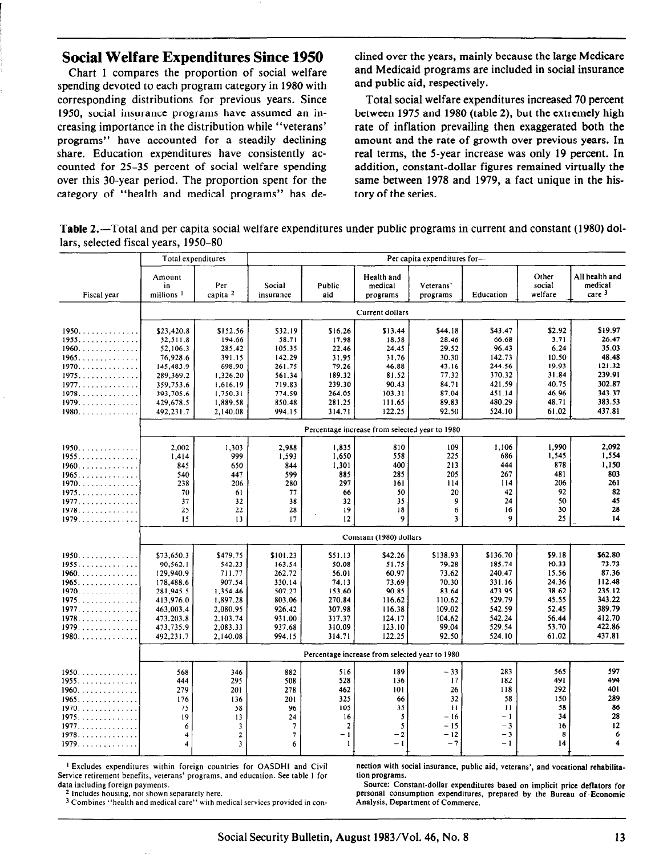### Social Welfare Expenditures Since 1950

Chart 1 compares the proportion of social welfare spending devoted to each program category in 1980 with corresponding distributions for previous years. Since 1950, social insurance programs have assumed an increasing importance in the distribution while "veterans' programs" have accounted for a steadily declining share. Education expenditures have consistently accounted for 25-35 percent of social welfare spending over this 30-year period. The proportion spent for the category of "health and medical programs" has de-

clined over the years, mainly because the large Medicare and Medicaid programs are included in social insurance and public aid, respectively.

Total social welfare expenditures increased 70 percent between 1975 and 1980 (table 2), but the extremely high rate of inflation prevailing then exaggerated both the amount and the rate of growth over previous years. In real terms, the 5-year increase was only 19 percent. In addition, constant-dollar figures remained virtually the same between 1978 and 1979, a fact unique in the history of the series.

Table 2.—Total and per capita social welfare expenditures under public programs in current and constant (1980) dollars, selected fiscal years, 1950-80

|               |                                       | Total expenditures             |                          |                      |                                                | Per capita expenditures for- |                  |                            |                                                |  |  |  |
|---------------|---------------------------------------|--------------------------------|--------------------------|----------------------|------------------------------------------------|------------------------------|------------------|----------------------------|------------------------------------------------|--|--|--|
| Fiscal year   | Amount<br>in<br>millions <sup>1</sup> | Per<br>capita <sup>2</sup>     | Social<br>insurance      | Public<br>aid        | Health and<br>medical<br>programs              | Veterans'<br>programs        | Education        | Other<br>social<br>welfare | All health and<br>medical<br>care <sup>3</sup> |  |  |  |
|               |                                       |                                |                          |                      | Current dollars                                |                              |                  |                            |                                                |  |  |  |
| 1950.         | \$23,420.8                            | \$152.56                       | \$32.19                  | \$16.26              | \$13.44                                        | \$44.18                      | \$43.47          | \$2.92                     | \$19.97                                        |  |  |  |
| 1955          | 32,511.8                              | 194.66                         | 58.71                    | 17.98                | 18.58                                          | 28.46                        | 66.68            | 3.71                       | 26.47                                          |  |  |  |
| 1960          | 52,106.3                              | 285.42                         | 105.35                   | 22.46                | 24.45                                          | 29.52                        | 96.43            | 6.24                       | 35.03                                          |  |  |  |
| 1965          | 76,928.6                              | 391.15                         | 142.29                   | 31.95                | 31.76                                          | 30.30                        | 142.73           | 10.50                      | 48.48                                          |  |  |  |
| 1970.<br>1975 | 145,483.9<br>289.369.2                | 698.90<br>1,326.20             | 261.75<br>561.34         | 79.26<br>189.32      | 46.88<br>81.52                                 | 43.16<br>77.32               | 244.56<br>370.32 | 19.93<br>31.84             | 121.32<br>239.91                               |  |  |  |
| 1977.         | 359,753.6                             | 1,616.19                       | 719.83                   | 239.30               | 90.43                                          | 84.71                        | 421.59           | 40.75                      | 302.87                                         |  |  |  |
| 1978          | 393,705.6                             | 1,750.31                       | 774.59                   | 264.05               | 103.31                                         | 87.04                        | 451.14           | 46.96                      | 343.37                                         |  |  |  |
| 1979          | 429,678.5                             | 1,889.58                       | 850.48                   | 281.25               | 111.65                                         | 89.83                        | 480.29           | 48.71                      | 383.53                                         |  |  |  |
| 1980          | 492,231.7                             | 2.140.08                       | 994.15                   | 314.71               | 122.25                                         | 92.50                        | 524.10           | 61.02                      | 437.81                                         |  |  |  |
|               |                                       |                                |                          |                      | Percentage increase from selected year to 1980 |                              |                  |                            |                                                |  |  |  |
|               |                                       |                                |                          |                      |                                                | 109                          |                  | 1.990                      | 2,092                                          |  |  |  |
| 1950.<br>1955 | 2,002<br>1,414                        | 1,303<br>999                   | 2,988<br>1,593           | 1,835<br>1,650       | 810<br>558                                     | 225                          | 1,106<br>686     | 1,545                      | 1,554                                          |  |  |  |
| $1960$        | 845                                   | 650                            | 844                      | 1,301                | 400                                            | 213                          | 444              | 878                        | 1,150                                          |  |  |  |
| 1965.         | 540                                   | 447                            | 599                      | 885                  | 285                                            | 205                          | 267              | 481                        | 803                                            |  |  |  |
| $1970.$       | 238                                   | 206                            | 280                      | 297                  | 161                                            | 114                          | 114              | 206                        | 261                                            |  |  |  |
| 1975          | 70                                    | 61                             | 77                       | 66                   | 50                                             | 20                           | 42               | 92                         | 82                                             |  |  |  |
| 1977          | 37                                    | 32                             | 38                       | 32                   | 35                                             | 9                            | 24               | 50                         | 45                                             |  |  |  |
| 1978<br>1979  | 25<br>15                              | 22<br>13                       | 28<br>17                 | 19<br>12             | 18<br>9                                        | 6<br>$\overline{\mathbf{3}}$ | 16<br>9          | 30<br>25                   | 28<br>14                                       |  |  |  |
|               |                                       |                                |                          |                      |                                                |                              |                  |                            |                                                |  |  |  |
|               |                                       |                                |                          |                      | Constant (1980) dollars                        |                              |                  |                            |                                                |  |  |  |
| 1950.         | \$73.650.3                            | \$479.75                       | \$101.23                 | \$51.13              | \$42.26                                        | \$138.93                     | \$136.70         | \$9.18                     | \$62.80                                        |  |  |  |
| 1955          | 90,562.1                              | 542.23                         | 163.54                   | 50.08                | 51.75                                          | 79.28                        | 185.74           | 10.33                      | 73.73                                          |  |  |  |
| $1960$        | 129,940.9                             | 711.77                         | 262.72                   | 56.01                | 60.97                                          | 73.62                        | 240.47           | 15.56                      | 87.36                                          |  |  |  |
| 1965<br>1970. | 178,488.6<br>281,945.5                | 907.54<br>1,354.46             | 330.14<br>507.27         | 74.13<br>153.60      | 73.69<br>90.85                                 | 70.30<br>83.64               | 331.16<br>473.95 | 24.36<br>38.62             | 112.48<br>235.12                               |  |  |  |
|               | 413,976.0                             | 1,897.28                       | 803.06                   | 270.84               | 116.62                                         | 110.62                       | 529.79           | 45.55                      | 343.22                                         |  |  |  |
| 1977.         | 463,003.4                             | 2,080.95                       | 926.42                   | 307.98               | 116.38                                         | 109.02                       | 542.59           | 52.45                      | 389.79                                         |  |  |  |
| 1978          | 473,203.8                             | 2,103.74                       | 931.00                   | 317.37               | 124.17                                         | 104.62                       | 542.24           | 56.44                      | 412.70                                         |  |  |  |
| 1979.         | 473,735.9                             | 2,083.33                       | 937.68                   | 310.09               | 123.10                                         | 99.04                        | 529.54           | 53.70                      | 422.86                                         |  |  |  |
| $1980$        | 492,231.7                             | 2,140.08                       | 994.15                   | 314.71               | 122.25                                         | 92.50                        | 524.10           | 61.02                      | 437.81                                         |  |  |  |
|               |                                       |                                |                          |                      | Percentage increase from selected year to 1980 |                              |                  |                            |                                                |  |  |  |
| 1950.         | 568                                   | 346                            | 882                      | 516                  | 189                                            | $-33$                        | 283              | 565                        | 597                                            |  |  |  |
| 1955          | 444                                   | 295                            | 508                      | 528                  | 136                                            | 17                           | 182              | 491                        | 494                                            |  |  |  |
| 1960.         | 279                                   | 201                            | 278                      | 462                  | 101                                            | 26                           | 118              | 292                        | 401                                            |  |  |  |
| 1965          | 176                                   | 136                            | 201                      | 325                  | 66                                             | 32                           | 58               | 150                        | 289                                            |  |  |  |
| 1970.         | 75                                    | 58                             | 96                       | 105                  | 35                                             | 11                           | 11               | 58                         | 86                                             |  |  |  |
| 1975<br>1977. | 19                                    | 13                             | 24<br>$\overline{7}$     | 16<br>$\overline{2}$ | 5<br>5                                         | $-16$<br>$-15$               | $-1$<br>$-3$     | 34<br>16                   | 28<br>12                                       |  |  |  |
| 1978          | 6<br>4                                | $\mathbf{3}$<br>$\overline{c}$ | $\overline{\phantom{a}}$ | $-1$                 | $-2$                                           | $-12$                        | $-3$             | 8                          | 6                                              |  |  |  |
| 1979          | 4                                     | $\overline{3}$                 | 6                        | $\mathbf{1}$         | $-1$                                           | $-7$                         | $-1$             | 14                         | 4                                              |  |  |  |
|               |                                       |                                |                          |                      |                                                |                              |                  |                            |                                                |  |  |  |

<sup>1</sup> Excludes expenditures within foreign countries for OASDHI and Civil **nection with social insurance**, public aid, veterans', and vocational rehabilita-<br>rvice retirement benefits, veterans' programs, and education. See Service retirement benefits, veterans' programs, and education. See table 1 for data including foreign payments.

<sup>2</sup> Includes housing, not shown separately here.

3 Combines "health and medical care" with medical services provided in con-

Source: Constant-dollar expenditures based on implicit price deflators for personal consumption expenditures. prepared by the Bureau of .Economic Analysis, Department of Commerce.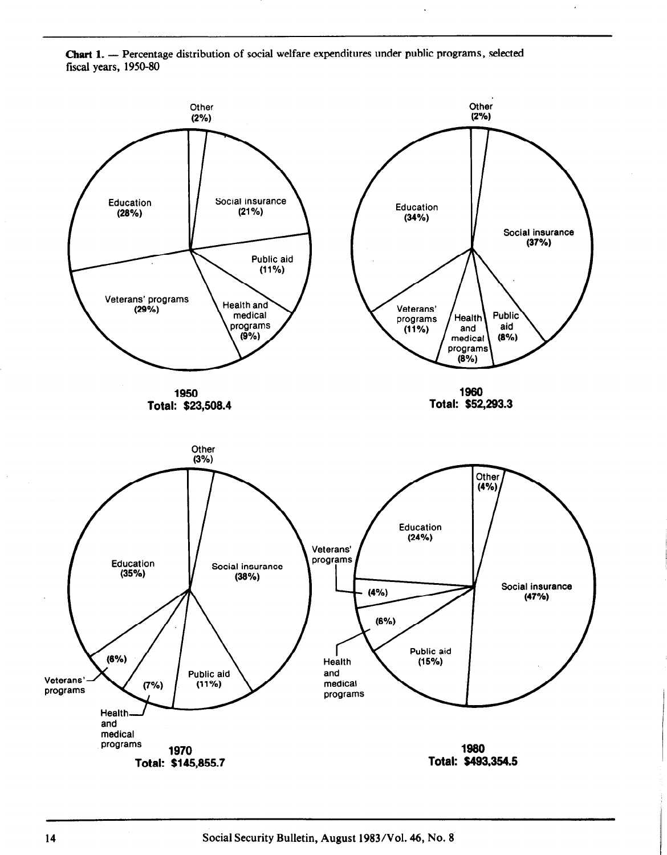Chart 1. - Percentage distribution of social welfare expenditures under public programs, selected fiscal years, 1950-80

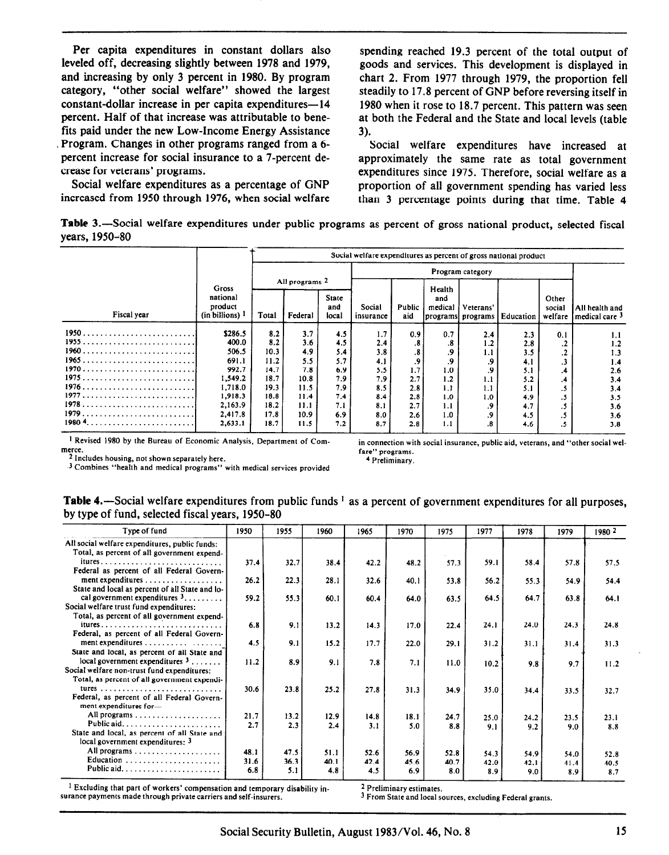Per capita expenditures in constant dollars also spending reached 19.3 percent of the total output of leveled off, decreasing slightly between 1978 and 1979, spoods and services. This development is displayed in leveled off, decreasing slightly between 1978 and 1979, goods and services. This development is displayed in and increasing by only 3 percent in 1980. By program chart 2. From 1977 through 1979, the proportion fell category, "other social welfare" showed the largest steadily to 17.8 percent of GNP before reversing itself in category, "other social welfare" showed the largest steadily to 17.8 percent of GNP before reversing itself in constant-dollar increase in per capita expenditures—14 1980 when it rose to 18.7 percent. This pattern was seen constant-dollar increase in per capita expenditures—14 1980 when it rose to 18.7 percent. This pattern was seen<br>percent. Half of that increase was attributable to bene-<br>at both the Federal and the State and local levels (t fits paid under the new Low-Income Energy Assistance 3).<br>Program. Changes in other programs ranged from a 6-Program. Changes in other programs ranged from a 6-<br>
percent increase for social insurance to a 7-percent de-<br>
approximately the same rate as total government percent increase for social insurance to a 7-percent de-<br>crease for veterans' programs.<br>expenditures since 1975. Therefore, social welfare as a

Social welfare expenditures as a percentage of GNP proportion of all government spending has varied less increased from 1950 through 1976, when social welfare than 3 percentage points during that time. Table 4

at both the Federal and the State and local levels (table

ease for veterans' programs.<br>
Social welfare expenditures as a percentage of GNP boroportion of all government spending has varied less than 3 percentage points during that time. Table 4

Table 3.-Social welfare expenditures under public programs as percent of gross national product, selected fiscal years, 1950-80

|             |                                      |       |                |                              | Social welfare expenditures as percent of gross national product |                      |                |                                |           |                            |                                               |  |  |  |
|-------------|--------------------------------------|-------|----------------|------------------------------|------------------------------------------------------------------|----------------------|----------------|--------------------------------|-----------|----------------------------|-----------------------------------------------|--|--|--|
|             |                                      |       |                |                              |                                                                  | Program category     |                |                                |           |                            |                                               |  |  |  |
|             | Gross                                |       | All programs 2 |                              |                                                                  |                      | Health         |                                |           | Other<br>social<br>welfare |                                               |  |  |  |
| Fiscal year | national<br>product<br>(in billions) | Total | Federal        | <b>State</b><br>and<br>local | Social<br>insurance                                              | <b>Public</b><br>aid | and<br>medical | Veterans'<br>programs programs | Education |                            | All health and<br>l medical care <sup>3</sup> |  |  |  |
|             | \$286.5                              | 8.2   | 3.7            | 4.5                          | 1.7                                                              | 0.9                  | 0.7            | 2.4                            | 2.3       | 0.1                        | 1.1                                           |  |  |  |
|             | 400.0                                | 8.2   | 3.6            | 4.5                          | 2.4                                                              | .8                   | .8             | 1.2                            | 2.8       | .2                         | 1.2                                           |  |  |  |
| 1960        | 506.5                                | 10.3  | 4.9            | 5.4                          | 3.8                                                              | .8                   | .9             | 1.1                            | 3.5       | .2                         | 1.3                                           |  |  |  |
|             | 691.1                                | 11.2  | 5.5            | 5.7                          | 4.1                                                              | .9                   | .9             | .9                             | 4.1       | .3                         | 1.4                                           |  |  |  |
|             | 992.7                                | 14.7  | 7.8            | 6.9                          | 5.5                                                              | 1.7                  | 1.0            | .9                             | 5.1       | .4                         | 2.6                                           |  |  |  |
|             | 1,549.2                              | 18.7  | 10.8           | 7.9                          | 7.9                                                              | 2.7                  | 1.2            | 1.1                            | 5.2       | .4                         | 3.4                                           |  |  |  |
|             | 1.718.0                              | 19.3  | 11.5           | 7.9                          | 8.5                                                              | 2.8                  | 1.1            | 1.1                            | 5.1       | .5                         | 3.4                                           |  |  |  |
|             | 1,918.3                              | 18.8  | 11.4           | 7.4                          | 8.4                                                              | 2.8                  | 1.0            | 1.0                            | 4.9       | .5                         | 3.5                                           |  |  |  |
|             | 2,163.9                              | 18.2  | 11.1           | 7.1                          | 8.1                                                              | 2.7                  | 1.1            | .9                             | 4.7       | .5                         | 3.6                                           |  |  |  |
|             | 2.417.8                              | 17.8  | 10.9           | 6.9                          | 8.0                                                              | 2.6                  | 1.0            | .9                             | 4.5       | .5                         | 3.6                                           |  |  |  |
| 1980 4      | 2,633.1                              | 18.7  | 11.5           | 7.2                          | 8.7                                                              | 2.8                  | 1.1            | .8                             | 4.6       | .5                         | 3.8                                           |  |  |  |

I Revised 1980 by the Bureau of Economic Analysis, Department of Com-

in connection with social insurance, public aid, veterans, and "other social welfare" programs. 4 Preliminary.

merce. 2 Includes housing, not shown separately here.

3 Combines "health and medical programs" with medical services provided

Table 4.-Social welfare expenditures from public funds <sup>1</sup> as a percent of government expenditures for all purposes, by type of fund, selected fiscal years, 1950-80

| Type of fund                                                                                       | 1950        | 1955        | 1960        | 1965        | 1970        | 1975        | 1977        | 1978        | 1979        | 1980 2      |
|----------------------------------------------------------------------------------------------------|-------------|-------------|-------------|-------------|-------------|-------------|-------------|-------------|-------------|-------------|
| All social welfare expenditures, public funds:<br>Total, as percent of all government expend-      |             |             |             |             |             |             |             |             |             |             |
|                                                                                                    | 37.4        | 32.7        | 38.4        | 42.2        | 48.2        | 57.3        | 59.1        | 58.4        | 57.8        | 57.5        |
| Federal as percent of all Federal Govern-<br>ment expenditures $\dots\dots\dots\dots\dots\dots$    | 26.2        | 22.3        | 28.1        | 32.6        | 40.1        | 53.8        | 56.2        | 55.3        | 54.9        | 54.4        |
| State and local as percent of all State and lo-<br>cal government expenditures $3, \ldots, \ldots$ | 59.2        | 55.3        | 60.1        | 60.4        | 64.0        | 63.5        | 64.5        | 64.7        | 63.8        | 64.1        |
| Social welfare trust fund expenditures:                                                            |             |             |             |             |             |             |             |             |             |             |
| Total, as percent of all government expend-                                                        | 6.8         | 9.1         | 13.2        | 14.3        | 17.0        | 22.4        | 24.1        | 24.0        | 24.3        | 24.8        |
| Federal, as percent of all Federal Govern-                                                         |             |             |             |             |             |             |             |             |             |             |
| ment expenditures<br>State and local, as percent of all State and                                  | 4.5         | 9.1         | 15.2        | 17.7        | 22.0        | 29.1        | 31.2        | 31.1        | 31.4        | 31.3        |
| local government expenditures $3, \ldots,$                                                         | 11.2        | 8.9         | 9.1         | 7.8         | 7.1         | 11.0        | 10.2        | 9.8         | 9.7         | 11.2        |
| Social welfare non-trust fund expenditures:<br>Total, as percent of all government expendi-        |             |             |             |             |             |             |             |             |             |             |
| Federal, as percent of all Federal Govern-<br>ment expenditures for-                               | 30.6        | 23.8        | 25.2        | 27.8        | 31.3        | 34.9        | 35.0        | 34.4        | 33.5        | 32.7        |
|                                                                                                    | 21.7        | 13.2        | 12.9        | 14.8        | 18.1        | 24.7        | 25.0        | 24.2        | 23.5        | 23.1        |
| State and local, as percent of all State and                                                       | 2.7         | 2.3         | 2.4         | 3.1         | 5.0         | 8.8         | 9.1         | 9.2         | 9.0         | 8.8         |
| local government expenditures: 3                                                                   |             |             |             |             |             |             |             |             |             |             |
|                                                                                                    | 48.1        | 47.5        | 51.1        | 52.6        | 56.9        | 52.8        | 54.3        | 54.9        | 54.0        | 52.8        |
| Education                                                                                          | 31.6<br>6.8 | 36.3<br>5.1 | 40.1<br>4.8 | 42.4<br>4.5 | 45.6<br>6.9 | 40.7<br>8.0 | 42.0<br>8.9 | 42.1<br>9.0 | 41.4<br>8.9 | 40.5<br>8.7 |

<sup>1</sup> Excluding that part of workers' compensation and temporary disability insurance payments made through private carriers and self-insurers.

2 Preliminary estimates.

3 From State and local sources, excluding Federal grants.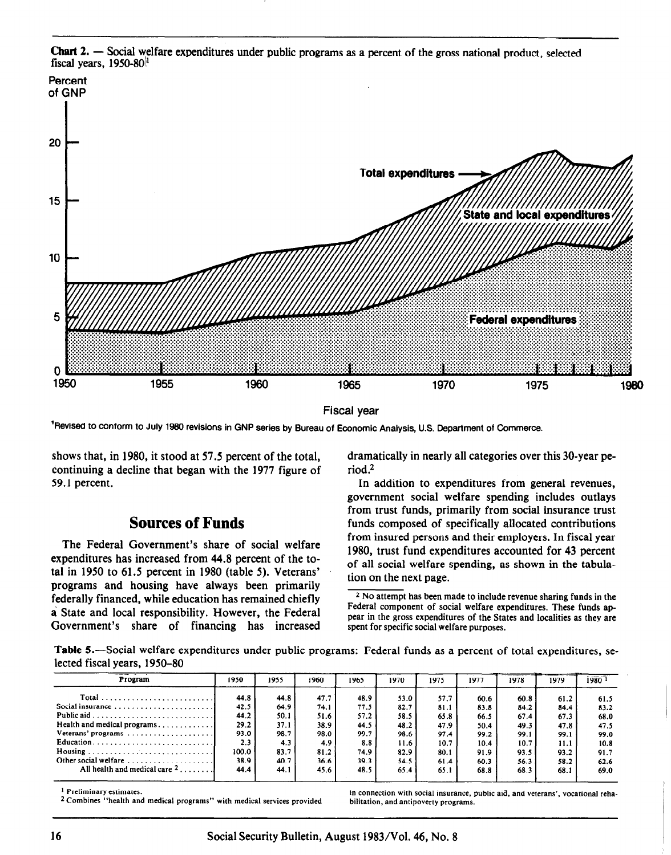

Chart 2. - Social welfare expenditures under public programs as a percent of the gross national product, selected fiscal years,  $1950-80$ <sup>1</sup>

Fiscal year

<sup>1</sup> Revised to conform to July 1980 revisions in GNP series by Bureau of Economic Analysis, U.S. Department of Commerce.

shows that, in 1980, it stood at 57.5 percent of the total, continuing a decline that began with the 1977 figure of 59.1 percent.

#### Sources of Funds

expenditures has increased from 44.8 percent of the to-<br>of all social welfare spending, as shown in the tabulatal in 1950 to  $61.5$  percent in 1980 (table 5). Veterans' tion on the next page. programs and housing have always been primarily<br> $\frac{1}{2}$ No attempt has been made to include revenue sharing funds in the next page. federally financed, while education has remained chiefly <sup>2 No attempt</sup> has been made to include revenue sharing funds in the<br><sup>2</sup> No attempt has been made to include revenues that the match of social welfare expenditures. a State and local responsibility. However, the Federal Government's share of financing has increased

dramatically in nearly all categories over this 30-year period.<sup>2</sup>

In addition to expenditures from general revenues, government social welfare spending includes outlays from trust funds, primarily from social insurance trust funds composed of specifically allocated contributions The Federal Government's share of social welfare from insured persons and their employers. In fiscal year 1980, trust fund expenditures accounted for 43 percent

> pear in the gross expenditures of the States and localities as they are spent for specific social welfare purposes.

Table 5.-Social welfare expenditures under public programs: Federal funds as a percent of total expenditures, selected fiscal years, 1950-80

| Program                                         | 1950  | 1955 | 1960 | 1965 | 1970 | 1975                                                                             | 1977 | 1978 | 1979 | 1980 |
|-------------------------------------------------|-------|------|------|------|------|----------------------------------------------------------------------------------|------|------|------|------|
|                                                 | 44.8  | 44.8 | 47.7 | 48.9 | 53.0 | 57.7                                                                             | 60.6 | 60.8 | 61.2 | 61.5 |
| Social insurance                                | 42.5  | 64.9 | 74.1 | 77.5 | 82.7 | 81.1                                                                             | 83.8 | 84.2 | 84.4 | 83.2 |
|                                                 | 44.2  | 50.1 | 51.6 | 57.2 | 58.5 | 65.8                                                                             | 66.5 | 67.4 | 67.3 | 68.0 |
| Health and medical programs                     | 29.2  | 37.1 | 38.9 | 44.5 | 48.2 | 47.9                                                                             | 50.4 | 49.3 | 47.8 | 47.5 |
| Veterans' programs                              | 93.0  | 98.7 | 98.0 | 99.7 | 98.6 | 97.4                                                                             | 99.2 | 99.1 | 99.1 | 99.0 |
|                                                 | 2.3   | 4.3  | 4.9  | 8.8  | 11.6 | 10.7                                                                             | 10.4 | 10.7 | 11.1 | 10.8 |
|                                                 | 100.0 | 83.7 | 81.2 | 74.9 | 82.9 | 80.1                                                                             | 91.9 | 93.5 | 93.2 | 91.7 |
| Other social welfare                            | 38.9  | 40.7 | 36.6 | 39.3 | 54.5 | 61.4                                                                             | 60.3 | 56.3 | 58.2 | 62.6 |
| All health and medical care $2, \ldots, \ldots$ | 44.4  | 44.1 | 45.6 | 48.5 | 65.4 | 65.1                                                                             | 68.8 | 68.3 | 68.1 | 69.0 |
| <sup>1</sup> Preliminary estimates.             |       |      |      |      |      | in connection with social insurance, public aid, and veterans', vocational reha- |      |      |      |      |

2 Combines "health and medical programs" with medical services provided bilitation, and antipoverty programs.